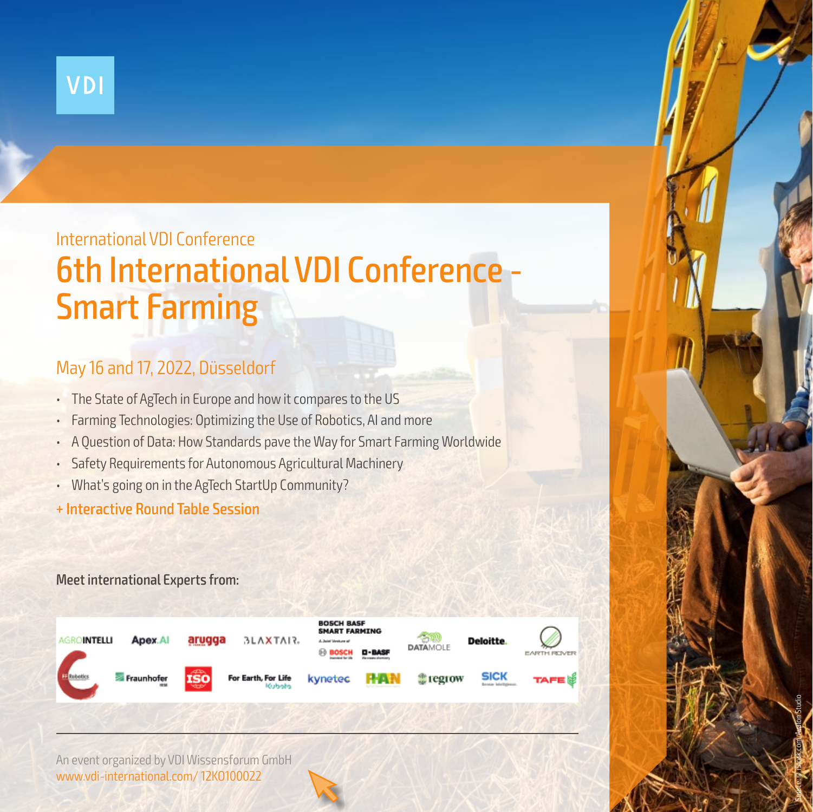

# 6th International VDI Conference - Smart Farming International VDI Conference

## May 16 and 17, 2022, Düsseldorf

- The State of AgTech in Europe and how it compares to the US
- Farming Technologies: Optimizing the Use of Robotics, AI and more
- A Question of Data: How Standards pave the Way for Smart Farming Worldwide
- Safety Requirements for Autonomous Agricultural Machinery
- What's going on in the AgTech StartUp Community?
- + Interactive Round Table Session

### Meet international Experts from:



Source: © iStock.com\_Avalon Studio

An event organized by VDI Wissensforum GmbH www.vdi-international.com/ 12KO100022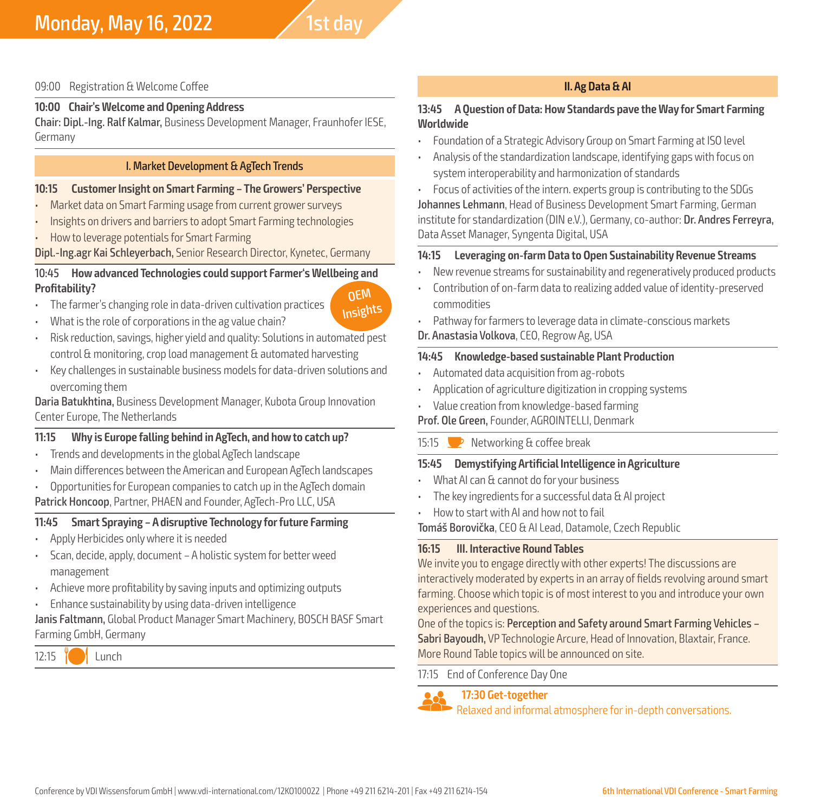#### 09:00 Registration & Welcome Coffee

#### **10:00 Chair's Welcome and Opening Address**

Chair: Dipl.-Ing. Ralf Kalmar, Business Development Manager, Fraunhofer IESE, Germany

#### I. Market Development & AgTech Trends

#### **10:15 Customer Insight on Smart Farming – The Growers' Perspective**

- Market data on Smart Farming usage from current grower surveys
- Insights on drivers and barriers to adopt Smart Farming technologies • How to leverage potentials for Smart Farming

Dipl.-Ing.agr Kai Schleyerbach, Senior Research Director, Kynetec, Germany

#### 10:45 **How advanced Technologies could support Farmer's Wellbeing and Profitability?** OEM

- The farmer's changing role in data-driven cultivation practices
- What is the role of corporations in the ag value chain?
- Risk reduction, savings, higher yield and quality: Solutions in automated pest control & monitoring, crop load management & automated harvesting

Insights

• Key challenges in sustainable business models for data-driven solutions and overcoming them

Daria Batukhtina, Business Development Manager, Kubota Group Innovation Center Europe, The Netherlands

#### **11:15 Why is Europe falling behind in AgTech, and how to catch up?**

- Trends and developments in the global AgTech landscape
- Main differences between the American and European AgTech landscapes
- Opportunities for European companies to catch up in the AgTech domain

Patrick Honcoop, Partner, PHAEN and Founder, AgTech-Pro LLC, USA

#### **11:45 Smart Spraying – A disruptive Technology for future Farming**

- Apply Herbicides only where it is needed
- Scan, decide, apply, document A holistic system for better weed management
- Achieve more profitability by saving inputs and optimizing outputs
- Enhance sustainability by using data-driven intelligence

#### Janis Faltmann, Global Product Manager Smart Machinery, BOSCH BASF Smart Farming GmbH, Germany



#### **II. Ag Data & AI**

#### **13:45 A Question of Data: How Standards pave the Way for Smart Farming Worldwide**

- Foundation of a Strategic Advisory Group on Smart Farming at ISO level
- Analysis of the standardization landscape, identifying gaps with focus on system interoperability and harmonization of standards

• Focus of activities of the intern. experts group is contributing to the SDGs Johannes Lehmann, Head of Business Development Smart Farming, German institute for standardization (DIN e.V.), Germany, co-author: Dr. Andres Ferreyra, Data Asset Manager, Syngenta Digital, USA

#### **14:15 Leveraging on-farm Data to Open Sustainability Revenue Streams**

- New revenue streams for sustainability and regeneratively produced products
- Contribution of on-farm data to realizing added value of identity-preserved commodities
- Pathway for farmers to leverage data in climate-conscious markets
- Dr. Anastasia Volkova, CEO, Regrow Ag, USA

#### **14:45 Knowledge-based sustainable Plant Production**

- Automated data acquisition from ag-robots
- Application of agriculture digitization in cropping systems
- Value creation from knowledge-based farming

Prof. Ole Green, Founder, AGROINTELLI, Denmark

#### 15:15  $\triangleright$  Networking & coffee break

#### **15:45 Demystifying Artificial Intelligence in Agriculture**

- What AI can & cannot do for your business
- The key ingredients for a successful data & AI project
- How to start with AI and how not to fail

Tomáš Borovička, CEO & AI Lead, Datamole, Czech Republic

#### **16:15 III. Interactive Round Tables**

We invite you to engage directly with other experts! The discussions are interactively moderated by experts in an array of fields revolving around smart farming. Choose which topic is of most interest to you and introduce your own experiences and questions.

One of the topics is: Perception and Safety around Smart Farming Vehicles – Sabri Bayoudh, VP Technologie Arcure, Head of Innovation, Blaxtair, France. More Round Table topics will be announced on site.

#### 17:15 End of Conference Day One

**Compariso Get-together**<br> **Relaxed and informal atmosphere for in-depth conversations.**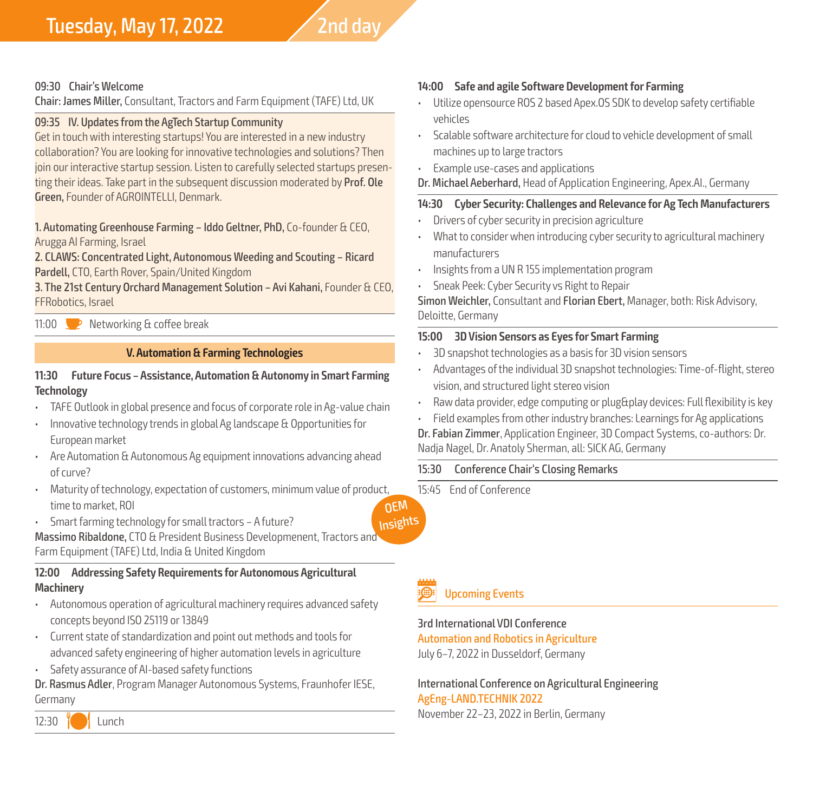## Tuesday, May 17, 2022  $\sqrt{2}$ nd day

#### 09:30 Chair's Welcome

Chair: James Miller, Consultant, Tractors and Farm Equipment (TAFE) Ltd, UK

#### 09:35 IV. Updates from the AgTech Startup Community

Get in touch with interesting startups! You are interested in a new industry collaboration? You are looking for innovative technologies and solutions? Then join our interactive startup session. Listen to carefully selected startups presenting their ideas. Take part in the subsequent discussion moderated by Prof. Ole Green, Founder of AGROINTELLI, Denmark.

1. Automating Greenhouse Farming – Iddo Geltner, PhD, Co-founder & CEO, Arugga AI Farming, Israel

2. CLAWS: Concentrated Light, Autonomous Weeding and Scouting – Ricard Pardell, CTO, Earth Rover, Spain/United Kingdom

3. The 21st Century Orchard Management Solution – Avi Kahani, Founder & CEO, FFRobotics, Israel

11:00  $\bullet$  Networking & coffee break

#### **V. Automation & Farming Technologies**

#### **11:30 Future Focus – Assistance, Automation & Autonomy in Smart Farming Technology**

- TAFE Outlook in global presence and focus of corporate role in Ag-value chain
- Innovative technology trends in global Ag landscape & Opportunities for European market
- Are Automation & Autonomous Ag equipment innovations advancing ahead of curve?
- Maturity of technology, expectation of customers, minimum value of product, time to market, ROI **OEM**
- Smart farming technology for small tractors A future?

Massimo Ribaldone, CTO & President Business Developmenent, Tractors and Farm Equipment (TAFE) Ltd, India & United Kingdom

#### **12:00 Addressing Safety Requirements for Autonomous Agricultural Machinery**

- Autonomous operation of agricultural machinery requires advanced safety concepts beyond ISO 25119 or 13849
- Current state of standardization and point out methods and tools for advanced safety engineering of higher automation levels in agriculture
- Safety assurance of AI-based safety functions

Dr. Rasmus Adler, Program Manager Autonomous Systems, Fraunhofer IESE, Germany

12:30  $\sqrt{2}$  Lunch

#### **14:00 Safe and agile Software Development for Farming**

- Utilize opensource ROS 2 based Apex.OS SDK to develop safety certifiable vehicles
- Scalable software architecture for cloud to vehicle development of small machines up to large tractors
- Example use-cases and applications

#### Dr. Michael Aeberhard, Head of Application Engineering, Apex.AI., Germany

#### **14:30 Cyber Security: Challenges and Relevance for Ag Tech Manufacturers**

- Drivers of cyber security in precision agriculture
- What to consider when introducing cyber security to agricultural machinery manufacturers
- Insights from a UN R 155 implementation program
- Sneak Peek: Cyber Security vs Right to Repair

Simon Weichler, Consultant and Florian Ebert, Manager, both: Risk Advisory, Deloitte, Germany

#### **15:00 3D Vision Sensors as Eyes for Smart Farming**

- 3D snapshot technologies as a basis for 3D vision sensors
- Advantages of the individual 3D snapshot technologies: Time-of-flight, stereo vision, and structured light stereo vision
- Raw data provider, edge computing or plug&play devices: Full flexibility is key
- Field examples from other industry branches: Learnings for Ag applications
- Dr. Fabian Zimmer, Application Engineer, 3D Compact Systems, co-authors: Dr. Nadja Nagel, Dr. Anatoly Sherman, all: SICK AG, Germany

#### 15:30 Conference Chair's Closing Remarks

15:45 End of Conference



### **Upcoming Events**

3rd International VDI Conference Automation and Robotics in Agriculture

July 6–7, 2022 in Dusseldorf, Germany

International Conference on Agricultural Engineering AgEng-LAND.TECHNIK 2022 November 22–23, 2022 in Berlin, Germany

**Insights**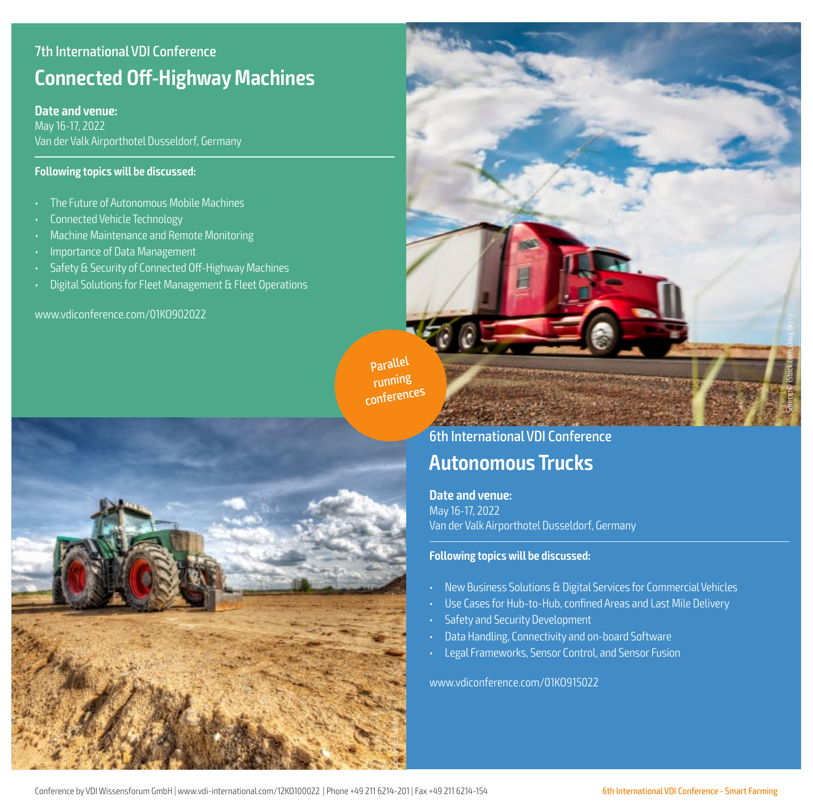### 7th International VDI Conference **Connected Off-Highway Machines**

#### **Date and venue:**

May 16-17, 2022 Van der Valk Airporthotel Dusseldorf, Germany

#### **Following topics will be discussed:**

- The Future of Autonomous Mobile Machines
- Connected Vehicle Technology
- Machine Maintenance and Remote Monitoring
- Importance of Data Management
- Safety & Security of Connected Off-Highway Machines
- Digital Solutions for Fleet Management & Fleet Operations

www.vdiconference.com/01KO902022

Parallel running conferences



6th International VDI Conference

## **Autonomous Trucks**

**Date and venue:** May 16-17, 2022 Van der Valk Airporthotel Dusseldorf, Germany

#### **Following topics will be discussed:**

- New Business Solutions & Digital Services for Commercial Vehicles
- Use Cases for Hub-to-Hub, confined Areas and Last Mile Delivery
- Safety and Security Development
- Data Handling, Connectivity and on-board Software
- Legal Frameworks, Sensor Control, and Sensor Fusion

www.vdiconference.com/01KO915022

Source: © iStock.com\_Doug Berry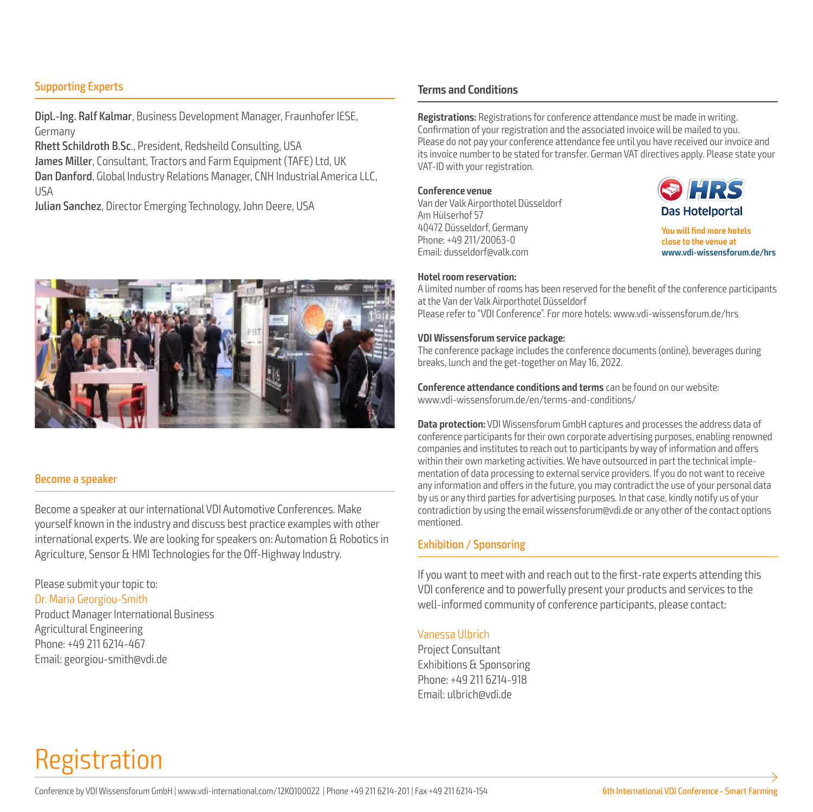#### Supporting Experts

Dipl.-Ing. Ralf Kalmar, Business Development Manager, Fraunhofer IESE, Germany

Rhett Schildroth B.Sc., President, Redsheild Consulting, USA James Miller, Consultant, Tractors and Farm Equipment (TAFE) Ltd, UK Dan Danford, Global Industry Relations Manager, CNH Industrial America LLC, USA

Julian Sanchez, Director Emerging Technology, John Deere, USA



#### Become a speaker

Become a speaker at our international VDI Automotive Conferences. Make yourself known in the industry and discuss best practice examples with other international experts. We are looking for speakers on: Automation & Robotics in Agriculture, Sensor & HMI Technologies for the Off-Highway Industry.

Please submit your topic to: Dr. Maria Georgiou-Smith Product Manager International Business Agricultural Engineering Phone: +49 211 6214-467 Email: georgiou-smith@vdi.de

#### **Terms and Conditions**

**Registrations:** Registrations for conference attendance must be made in writing. Confirmation of your registration and the associated invoice will be mailed to you. Please do not pay your conference attendance fee until you have received our invoice and its invoice number to be stated for transfer. German VAT directives apply. Please state your VAT-ID with your registration.

**Conference venue** Van der Valk Airporthotel Düsseldorf Am Hülserhof 57 40472 Düsseldorf, Germany Phone: +49 211/20063-0 Email: dusseldorf@valk.com



**You will find more hotels close to the venue at www.vdi-wissensforum.de/hrs**

#### **Hotel room reservation:**

A limited number of rooms has been reserved for the benefit of the conference participants at the Van der Valk Airporthotel Düsseldorf Please refer to "VDI Conference". For more hotels: www.vdi-wissensforum.de/hrs

#### **VDI Wissensforum service package:**

The conference package includes the conference documents (online), beverages during breaks, lunch and the get-together on May 16, 2022.

**Conference attendance conditions and terms** can be found on our website: www.vdi-wissensforum.de/en/terms-and-conditions/

**Data protection:** VDI Wissensforum GmbH captures and processes the address data of conference participants for their own corporate advertising purposes, enabling renowned companies and institutes to reach out to participants by way of information and offers within their own marketing activities. We have outsourced in part the technical implementation of data processing to external service providers. If you do not want to receive any information and offers in the future, you may contradict the use of your personal data by us or any third parties for advertising purposes. In that case, kindly notify us of your contradiction by using the email wissensforum@vdi.de or any other of the contact options mentioned.

#### Exhibition / Sponsoring

If you want to meet with and reach out to the first-rate experts attending this VDI conference and to powerfully present your products and services to the well-informed community of conference participants, please contact:

#### Vanessa Ulbrich

Project Consultant Exhibitions & Sponsoring Phone: +49 211 6214-918 Email: ulbrich@vdi.de

# Registration